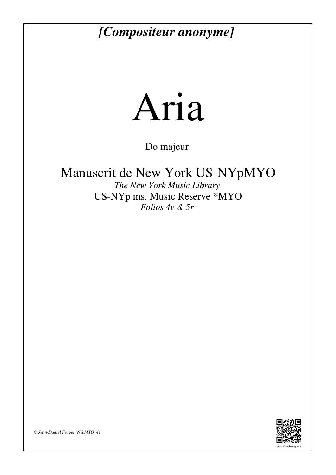## *[Compositeur anonyme]*



Do majeur

Manuscrit de New York US-NYpMYO

*The New York Music Library* US-NYp ms. Music Reserve \*MYO *Folios 4v & 5r* 



*© Jean-Daniel Forget (NYpMYO\_4)*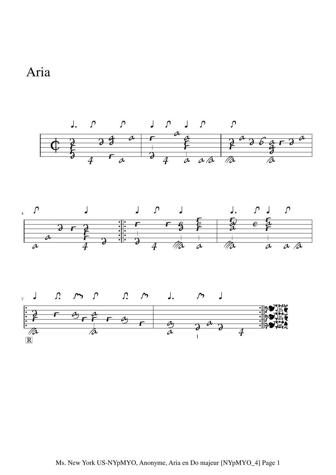

Aria